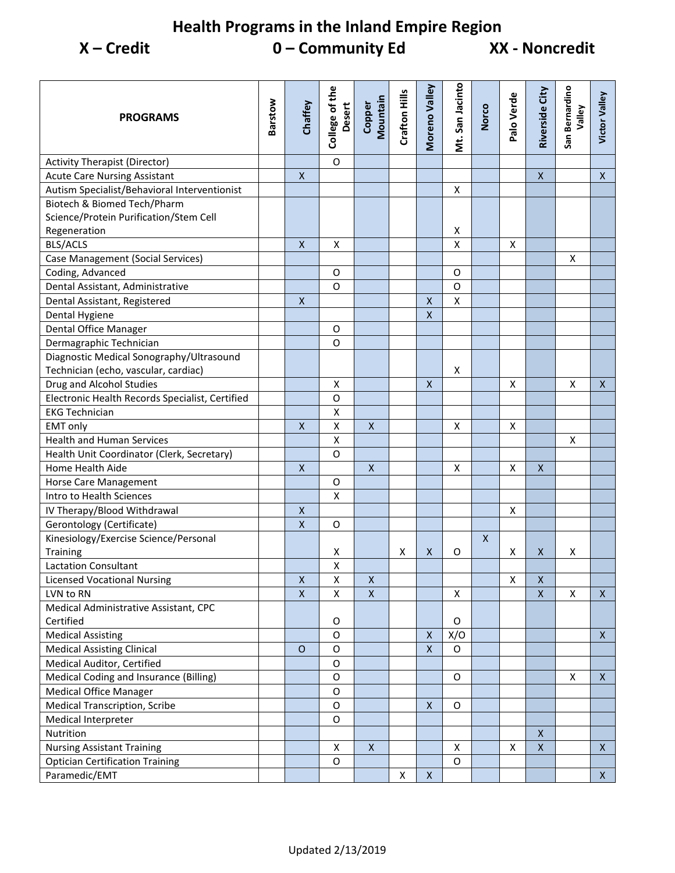## **Health Programs in the Inland Empire Region X – Credit 0 – Community Ed XX - Noncredit**

| $\mathsf O$<br><b>Activity Therapist (Director)</b><br>$\pmb{\mathsf{X}}$<br>$\mathsf{X}$<br><b>Acute Care Nursing Assistant</b><br>X<br>Autism Specialist/Behavioral Interventionist<br>X<br>Biotech & Biomed Tech/Pharm<br>Science/Protein Purification/Stem Cell<br>Regeneration<br>X<br><b>BLS/ACLS</b><br>$\pmb{\mathsf{X}}$<br>X<br>Χ<br>X<br>Case Management (Social Services)<br>Χ<br>Coding, Advanced<br>$\mathsf O$<br>O<br>Dental Assistant, Administrative<br>O<br>O<br>$\pmb{\mathsf{X}}$<br>$\pmb{\mathsf{X}}$<br>$\pmb{\mathsf{X}}$<br>Dental Assistant, Registered<br>Dental Hygiene<br>$\pmb{\times}$<br>Dental Office Manager<br>O<br>Dermagraphic Technician<br>O<br>Diagnostic Medical Sonography/Ultrasound<br>Technician (echo, vascular, cardiac)<br>Х<br>$\pmb{\times}$<br>Drug and Alcohol Studies<br>Χ<br>$\mathsf{X}$<br>$\mathsf{X}$<br>X<br>$\circ$<br>Electronic Health Records Specialist, Certified<br>$\pmb{\mathsf{X}}$<br><b>EKG Technician</b><br>$\pmb{\mathsf{X}}$<br>$\pmb{\mathsf{X}}$<br>$\pmb{\mathsf{X}}$<br><b>EMT</b> only<br>X<br>X<br><b>Health and Human Services</b><br>$\pmb{\mathsf{X}}$<br>X<br>Health Unit Coordinator (Clerk, Secretary)<br>$\mathsf O$<br>Home Health Aide<br>$\pmb{\mathsf{X}}$<br>$\pmb{\mathsf{X}}$<br>$\pmb{\mathsf{X}}$<br>X<br>X<br>$\mathsf O$<br>Horse Care Management<br>$\pmb{\mathsf{X}}$<br>Intro to Health Sciences<br>IV Therapy/Blood Withdrawal<br>X<br>Χ<br>Gerontology (Certificate)<br>$\mathsf{X}$<br>O<br>Kinesiology/Exercise Science/Personal<br>$\boldsymbol{\mathsf{X}}$<br>Training<br>X<br>X<br>x<br>х<br>O<br>Χ<br>X<br>X<br><b>Lactation Consultant</b><br><b>Licensed Vocational Nursing</b><br>X<br>X<br>X<br>X<br>X<br>LVN to RN<br>$\pmb{\mathsf{X}}$<br>$\mathsf X$<br>Χ<br>X<br>$\mathsf{X}$<br>X<br>X<br>Medical Administrative Assistant, CPC<br>Certified<br>O<br>O<br>$\pmb{\mathsf{X}}$<br>X/O<br><b>Medical Assisting</b><br>$\mathsf O$<br>$\mathsf{X}$<br>$\mathsf O$<br><b>Medical Assisting Clinical</b><br>$\mathsf{X}$<br>O<br>O<br>Medical Auditor, Certified<br>$\mathsf O$<br>Medical Coding and Insurance (Billing)<br>$\mathsf O$<br>O<br>X<br>Χ<br><b>Medical Office Manager</b><br>$\mathsf O$<br><b>Medical Transcription, Scribe</b><br>O<br>X<br>0<br>Medical Interpreter<br>$\mathsf O$<br>Nutrition<br>$\mathsf{X}$<br><b>Nursing Assistant Training</b><br>$\pmb{\mathsf{X}}$<br>$\pmb{\mathsf{X}}$<br>X<br>$\mathsf{X}$<br>$\mathsf{X}$<br>X<br><b>Optician Certification Training</b><br>$\circ$<br>O | <b>PROGRAMS</b> | Barstow | Chaffey | College of the<br>Desert | Mountain<br>Copper | Crafton Hills      | Moreno Valley | Mt. San Jacinto | Norco | Palo Verde | Riverside City | San Bernardino<br>Valley | Victor Valley  |
|--------------------------------------------------------------------------------------------------------------------------------------------------------------------------------------------------------------------------------------------------------------------------------------------------------------------------------------------------------------------------------------------------------------------------------------------------------------------------------------------------------------------------------------------------------------------------------------------------------------------------------------------------------------------------------------------------------------------------------------------------------------------------------------------------------------------------------------------------------------------------------------------------------------------------------------------------------------------------------------------------------------------------------------------------------------------------------------------------------------------------------------------------------------------------------------------------------------------------------------------------------------------------------------------------------------------------------------------------------------------------------------------------------------------------------------------------------------------------------------------------------------------------------------------------------------------------------------------------------------------------------------------------------------------------------------------------------------------------------------------------------------------------------------------------------------------------------------------------------------------------------------------------------------------------------------------------------------------------------------------------------------------------------------------------------------------------------------------------------------------------------------------------------------------------------------------------------------------------------------------------------------------------------------------------------------------------------------------------------------------------------------------------------------------------------------------------------------------------------------------------------------------------------------------|-----------------|---------|---------|--------------------------|--------------------|--------------------|---------------|-----------------|-------|------------|----------------|--------------------------|----------------|
|                                                                                                                                                                                                                                                                                                                                                                                                                                                                                                                                                                                                                                                                                                                                                                                                                                                                                                                                                                                                                                                                                                                                                                                                                                                                                                                                                                                                                                                                                                                                                                                                                                                                                                                                                                                                                                                                                                                                                                                                                                                                                                                                                                                                                                                                                                                                                                                                                                                                                                                                            |                 |         |         |                          |                    |                    |               |                 |       |            |                |                          |                |
|                                                                                                                                                                                                                                                                                                                                                                                                                                                                                                                                                                                                                                                                                                                                                                                                                                                                                                                                                                                                                                                                                                                                                                                                                                                                                                                                                                                                                                                                                                                                                                                                                                                                                                                                                                                                                                                                                                                                                                                                                                                                                                                                                                                                                                                                                                                                                                                                                                                                                                                                            |                 |         |         |                          |                    |                    |               |                 |       |            |                |                          |                |
|                                                                                                                                                                                                                                                                                                                                                                                                                                                                                                                                                                                                                                                                                                                                                                                                                                                                                                                                                                                                                                                                                                                                                                                                                                                                                                                                                                                                                                                                                                                                                                                                                                                                                                                                                                                                                                                                                                                                                                                                                                                                                                                                                                                                                                                                                                                                                                                                                                                                                                                                            |                 |         |         |                          |                    |                    |               |                 |       |            |                |                          |                |
|                                                                                                                                                                                                                                                                                                                                                                                                                                                                                                                                                                                                                                                                                                                                                                                                                                                                                                                                                                                                                                                                                                                                                                                                                                                                                                                                                                                                                                                                                                                                                                                                                                                                                                                                                                                                                                                                                                                                                                                                                                                                                                                                                                                                                                                                                                                                                                                                                                                                                                                                            |                 |         |         |                          |                    |                    |               |                 |       |            |                |                          |                |
|                                                                                                                                                                                                                                                                                                                                                                                                                                                                                                                                                                                                                                                                                                                                                                                                                                                                                                                                                                                                                                                                                                                                                                                                                                                                                                                                                                                                                                                                                                                                                                                                                                                                                                                                                                                                                                                                                                                                                                                                                                                                                                                                                                                                                                                                                                                                                                                                                                                                                                                                            |                 |         |         |                          |                    |                    |               |                 |       |            |                |                          |                |
|                                                                                                                                                                                                                                                                                                                                                                                                                                                                                                                                                                                                                                                                                                                                                                                                                                                                                                                                                                                                                                                                                                                                                                                                                                                                                                                                                                                                                                                                                                                                                                                                                                                                                                                                                                                                                                                                                                                                                                                                                                                                                                                                                                                                                                                                                                                                                                                                                                                                                                                                            |                 |         |         |                          |                    |                    |               |                 |       |            |                |                          |                |
|                                                                                                                                                                                                                                                                                                                                                                                                                                                                                                                                                                                                                                                                                                                                                                                                                                                                                                                                                                                                                                                                                                                                                                                                                                                                                                                                                                                                                                                                                                                                                                                                                                                                                                                                                                                                                                                                                                                                                                                                                                                                                                                                                                                                                                                                                                                                                                                                                                                                                                                                            |                 |         |         |                          |                    |                    |               |                 |       |            |                |                          |                |
|                                                                                                                                                                                                                                                                                                                                                                                                                                                                                                                                                                                                                                                                                                                                                                                                                                                                                                                                                                                                                                                                                                                                                                                                                                                                                                                                                                                                                                                                                                                                                                                                                                                                                                                                                                                                                                                                                                                                                                                                                                                                                                                                                                                                                                                                                                                                                                                                                                                                                                                                            |                 |         |         |                          |                    |                    |               |                 |       |            |                |                          |                |
|                                                                                                                                                                                                                                                                                                                                                                                                                                                                                                                                                                                                                                                                                                                                                                                                                                                                                                                                                                                                                                                                                                                                                                                                                                                                                                                                                                                                                                                                                                                                                                                                                                                                                                                                                                                                                                                                                                                                                                                                                                                                                                                                                                                                                                                                                                                                                                                                                                                                                                                                            |                 |         |         |                          |                    |                    |               |                 |       |            |                |                          |                |
|                                                                                                                                                                                                                                                                                                                                                                                                                                                                                                                                                                                                                                                                                                                                                                                                                                                                                                                                                                                                                                                                                                                                                                                                                                                                                                                                                                                                                                                                                                                                                                                                                                                                                                                                                                                                                                                                                                                                                                                                                                                                                                                                                                                                                                                                                                                                                                                                                                                                                                                                            |                 |         |         |                          |                    |                    |               |                 |       |            |                |                          |                |
|                                                                                                                                                                                                                                                                                                                                                                                                                                                                                                                                                                                                                                                                                                                                                                                                                                                                                                                                                                                                                                                                                                                                                                                                                                                                                                                                                                                                                                                                                                                                                                                                                                                                                                                                                                                                                                                                                                                                                                                                                                                                                                                                                                                                                                                                                                                                                                                                                                                                                                                                            |                 |         |         |                          |                    |                    |               |                 |       |            |                |                          |                |
|                                                                                                                                                                                                                                                                                                                                                                                                                                                                                                                                                                                                                                                                                                                                                                                                                                                                                                                                                                                                                                                                                                                                                                                                                                                                                                                                                                                                                                                                                                                                                                                                                                                                                                                                                                                                                                                                                                                                                                                                                                                                                                                                                                                                                                                                                                                                                                                                                                                                                                                                            |                 |         |         |                          |                    |                    |               |                 |       |            |                |                          |                |
|                                                                                                                                                                                                                                                                                                                                                                                                                                                                                                                                                                                                                                                                                                                                                                                                                                                                                                                                                                                                                                                                                                                                                                                                                                                                                                                                                                                                                                                                                                                                                                                                                                                                                                                                                                                                                                                                                                                                                                                                                                                                                                                                                                                                                                                                                                                                                                                                                                                                                                                                            |                 |         |         |                          |                    |                    |               |                 |       |            |                |                          |                |
|                                                                                                                                                                                                                                                                                                                                                                                                                                                                                                                                                                                                                                                                                                                                                                                                                                                                                                                                                                                                                                                                                                                                                                                                                                                                                                                                                                                                                                                                                                                                                                                                                                                                                                                                                                                                                                                                                                                                                                                                                                                                                                                                                                                                                                                                                                                                                                                                                                                                                                                                            |                 |         |         |                          |                    |                    |               |                 |       |            |                |                          |                |
|                                                                                                                                                                                                                                                                                                                                                                                                                                                                                                                                                                                                                                                                                                                                                                                                                                                                                                                                                                                                                                                                                                                                                                                                                                                                                                                                                                                                                                                                                                                                                                                                                                                                                                                                                                                                                                                                                                                                                                                                                                                                                                                                                                                                                                                                                                                                                                                                                                                                                                                                            |                 |         |         |                          |                    |                    |               |                 |       |            |                |                          |                |
|                                                                                                                                                                                                                                                                                                                                                                                                                                                                                                                                                                                                                                                                                                                                                                                                                                                                                                                                                                                                                                                                                                                                                                                                                                                                                                                                                                                                                                                                                                                                                                                                                                                                                                                                                                                                                                                                                                                                                                                                                                                                                                                                                                                                                                                                                                                                                                                                                                                                                                                                            |                 |         |         |                          |                    |                    |               |                 |       |            |                |                          |                |
|                                                                                                                                                                                                                                                                                                                                                                                                                                                                                                                                                                                                                                                                                                                                                                                                                                                                                                                                                                                                                                                                                                                                                                                                                                                                                                                                                                                                                                                                                                                                                                                                                                                                                                                                                                                                                                                                                                                                                                                                                                                                                                                                                                                                                                                                                                                                                                                                                                                                                                                                            |                 |         |         |                          |                    |                    |               |                 |       |            |                |                          |                |
|                                                                                                                                                                                                                                                                                                                                                                                                                                                                                                                                                                                                                                                                                                                                                                                                                                                                                                                                                                                                                                                                                                                                                                                                                                                                                                                                                                                                                                                                                                                                                                                                                                                                                                                                                                                                                                                                                                                                                                                                                                                                                                                                                                                                                                                                                                                                                                                                                                                                                                                                            |                 |         |         |                          |                    |                    |               |                 |       |            |                |                          |                |
|                                                                                                                                                                                                                                                                                                                                                                                                                                                                                                                                                                                                                                                                                                                                                                                                                                                                                                                                                                                                                                                                                                                                                                                                                                                                                                                                                                                                                                                                                                                                                                                                                                                                                                                                                                                                                                                                                                                                                                                                                                                                                                                                                                                                                                                                                                                                                                                                                                                                                                                                            |                 |         |         |                          |                    |                    |               |                 |       |            |                |                          |                |
|                                                                                                                                                                                                                                                                                                                                                                                                                                                                                                                                                                                                                                                                                                                                                                                                                                                                                                                                                                                                                                                                                                                                                                                                                                                                                                                                                                                                                                                                                                                                                                                                                                                                                                                                                                                                                                                                                                                                                                                                                                                                                                                                                                                                                                                                                                                                                                                                                                                                                                                                            |                 |         |         |                          |                    |                    |               |                 |       |            |                |                          |                |
|                                                                                                                                                                                                                                                                                                                                                                                                                                                                                                                                                                                                                                                                                                                                                                                                                                                                                                                                                                                                                                                                                                                                                                                                                                                                                                                                                                                                                                                                                                                                                                                                                                                                                                                                                                                                                                                                                                                                                                                                                                                                                                                                                                                                                                                                                                                                                                                                                                                                                                                                            |                 |         |         |                          |                    |                    |               |                 |       |            |                |                          |                |
|                                                                                                                                                                                                                                                                                                                                                                                                                                                                                                                                                                                                                                                                                                                                                                                                                                                                                                                                                                                                                                                                                                                                                                                                                                                                                                                                                                                                                                                                                                                                                                                                                                                                                                                                                                                                                                                                                                                                                                                                                                                                                                                                                                                                                                                                                                                                                                                                                                                                                                                                            |                 |         |         |                          |                    |                    |               |                 |       |            |                |                          |                |
|                                                                                                                                                                                                                                                                                                                                                                                                                                                                                                                                                                                                                                                                                                                                                                                                                                                                                                                                                                                                                                                                                                                                                                                                                                                                                                                                                                                                                                                                                                                                                                                                                                                                                                                                                                                                                                                                                                                                                                                                                                                                                                                                                                                                                                                                                                                                                                                                                                                                                                                                            |                 |         |         |                          |                    |                    |               |                 |       |            |                |                          |                |
|                                                                                                                                                                                                                                                                                                                                                                                                                                                                                                                                                                                                                                                                                                                                                                                                                                                                                                                                                                                                                                                                                                                                                                                                                                                                                                                                                                                                                                                                                                                                                                                                                                                                                                                                                                                                                                                                                                                                                                                                                                                                                                                                                                                                                                                                                                                                                                                                                                                                                                                                            |                 |         |         |                          |                    |                    |               |                 |       |            |                |                          |                |
|                                                                                                                                                                                                                                                                                                                                                                                                                                                                                                                                                                                                                                                                                                                                                                                                                                                                                                                                                                                                                                                                                                                                                                                                                                                                                                                                                                                                                                                                                                                                                                                                                                                                                                                                                                                                                                                                                                                                                                                                                                                                                                                                                                                                                                                                                                                                                                                                                                                                                                                                            |                 |         |         |                          |                    |                    |               |                 |       |            |                |                          |                |
|                                                                                                                                                                                                                                                                                                                                                                                                                                                                                                                                                                                                                                                                                                                                                                                                                                                                                                                                                                                                                                                                                                                                                                                                                                                                                                                                                                                                                                                                                                                                                                                                                                                                                                                                                                                                                                                                                                                                                                                                                                                                                                                                                                                                                                                                                                                                                                                                                                                                                                                                            |                 |         |         |                          |                    |                    |               |                 |       |            |                |                          |                |
|                                                                                                                                                                                                                                                                                                                                                                                                                                                                                                                                                                                                                                                                                                                                                                                                                                                                                                                                                                                                                                                                                                                                                                                                                                                                                                                                                                                                                                                                                                                                                                                                                                                                                                                                                                                                                                                                                                                                                                                                                                                                                                                                                                                                                                                                                                                                                                                                                                                                                                                                            |                 |         |         |                          |                    |                    |               |                 |       |            |                |                          |                |
|                                                                                                                                                                                                                                                                                                                                                                                                                                                                                                                                                                                                                                                                                                                                                                                                                                                                                                                                                                                                                                                                                                                                                                                                                                                                                                                                                                                                                                                                                                                                                                                                                                                                                                                                                                                                                                                                                                                                                                                                                                                                                                                                                                                                                                                                                                                                                                                                                                                                                                                                            |                 |         |         |                          |                    |                    |               |                 |       |            |                |                          |                |
|                                                                                                                                                                                                                                                                                                                                                                                                                                                                                                                                                                                                                                                                                                                                                                                                                                                                                                                                                                                                                                                                                                                                                                                                                                                                                                                                                                                                                                                                                                                                                                                                                                                                                                                                                                                                                                                                                                                                                                                                                                                                                                                                                                                                                                                                                                                                                                                                                                                                                                                                            |                 |         |         |                          |                    |                    |               |                 |       |            |                |                          |                |
|                                                                                                                                                                                                                                                                                                                                                                                                                                                                                                                                                                                                                                                                                                                                                                                                                                                                                                                                                                                                                                                                                                                                                                                                                                                                                                                                                                                                                                                                                                                                                                                                                                                                                                                                                                                                                                                                                                                                                                                                                                                                                                                                                                                                                                                                                                                                                                                                                                                                                                                                            |                 |         |         |                          |                    |                    |               |                 |       |            |                |                          |                |
|                                                                                                                                                                                                                                                                                                                                                                                                                                                                                                                                                                                                                                                                                                                                                                                                                                                                                                                                                                                                                                                                                                                                                                                                                                                                                                                                                                                                                                                                                                                                                                                                                                                                                                                                                                                                                                                                                                                                                                                                                                                                                                                                                                                                                                                                                                                                                                                                                                                                                                                                            |                 |         |         |                          |                    |                    |               |                 |       |            |                |                          |                |
|                                                                                                                                                                                                                                                                                                                                                                                                                                                                                                                                                                                                                                                                                                                                                                                                                                                                                                                                                                                                                                                                                                                                                                                                                                                                                                                                                                                                                                                                                                                                                                                                                                                                                                                                                                                                                                                                                                                                                                                                                                                                                                                                                                                                                                                                                                                                                                                                                                                                                                                                            |                 |         |         |                          |                    |                    |               |                 |       |            |                |                          |                |
|                                                                                                                                                                                                                                                                                                                                                                                                                                                                                                                                                                                                                                                                                                                                                                                                                                                                                                                                                                                                                                                                                                                                                                                                                                                                                                                                                                                                                                                                                                                                                                                                                                                                                                                                                                                                                                                                                                                                                                                                                                                                                                                                                                                                                                                                                                                                                                                                                                                                                                                                            |                 |         |         |                          |                    |                    |               |                 |       |            |                |                          |                |
|                                                                                                                                                                                                                                                                                                                                                                                                                                                                                                                                                                                                                                                                                                                                                                                                                                                                                                                                                                                                                                                                                                                                                                                                                                                                                                                                                                                                                                                                                                                                                                                                                                                                                                                                                                                                                                                                                                                                                                                                                                                                                                                                                                                                                                                                                                                                                                                                                                                                                                                                            |                 |         |         |                          |                    |                    |               |                 |       |            |                |                          |                |
|                                                                                                                                                                                                                                                                                                                                                                                                                                                                                                                                                                                                                                                                                                                                                                                                                                                                                                                                                                                                                                                                                                                                                                                                                                                                                                                                                                                                                                                                                                                                                                                                                                                                                                                                                                                                                                                                                                                                                                                                                                                                                                                                                                                                                                                                                                                                                                                                                                                                                                                                            |                 |         |         |                          |                    |                    |               |                 |       |            |                |                          |                |
|                                                                                                                                                                                                                                                                                                                                                                                                                                                                                                                                                                                                                                                                                                                                                                                                                                                                                                                                                                                                                                                                                                                                                                                                                                                                                                                                                                                                                                                                                                                                                                                                                                                                                                                                                                                                                                                                                                                                                                                                                                                                                                                                                                                                                                                                                                                                                                                                                                                                                                                                            |                 |         |         |                          |                    |                    |               |                 |       |            |                |                          |                |
|                                                                                                                                                                                                                                                                                                                                                                                                                                                                                                                                                                                                                                                                                                                                                                                                                                                                                                                                                                                                                                                                                                                                                                                                                                                                                                                                                                                                                                                                                                                                                                                                                                                                                                                                                                                                                                                                                                                                                                                                                                                                                                                                                                                                                                                                                                                                                                                                                                                                                                                                            |                 |         |         |                          |                    |                    |               |                 |       |            |                |                          |                |
|                                                                                                                                                                                                                                                                                                                                                                                                                                                                                                                                                                                                                                                                                                                                                                                                                                                                                                                                                                                                                                                                                                                                                                                                                                                                                                                                                                                                                                                                                                                                                                                                                                                                                                                                                                                                                                                                                                                                                                                                                                                                                                                                                                                                                                                                                                                                                                                                                                                                                                                                            |                 |         |         |                          |                    |                    |               |                 |       |            |                |                          |                |
|                                                                                                                                                                                                                                                                                                                                                                                                                                                                                                                                                                                                                                                                                                                                                                                                                                                                                                                                                                                                                                                                                                                                                                                                                                                                                                                                                                                                                                                                                                                                                                                                                                                                                                                                                                                                                                                                                                                                                                                                                                                                                                                                                                                                                                                                                                                                                                                                                                                                                                                                            |                 |         |         |                          |                    |                    |               |                 |       |            |                |                          |                |
|                                                                                                                                                                                                                                                                                                                                                                                                                                                                                                                                                                                                                                                                                                                                                                                                                                                                                                                                                                                                                                                                                                                                                                                                                                                                                                                                                                                                                                                                                                                                                                                                                                                                                                                                                                                                                                                                                                                                                                                                                                                                                                                                                                                                                                                                                                                                                                                                                                                                                                                                            |                 |         |         |                          |                    |                    |               |                 |       |            |                |                          |                |
|                                                                                                                                                                                                                                                                                                                                                                                                                                                                                                                                                                                                                                                                                                                                                                                                                                                                                                                                                                                                                                                                                                                                                                                                                                                                                                                                                                                                                                                                                                                                                                                                                                                                                                                                                                                                                                                                                                                                                                                                                                                                                                                                                                                                                                                                                                                                                                                                                                                                                                                                            |                 |         |         |                          |                    |                    |               |                 |       |            |                |                          |                |
|                                                                                                                                                                                                                                                                                                                                                                                                                                                                                                                                                                                                                                                                                                                                                                                                                                                                                                                                                                                                                                                                                                                                                                                                                                                                                                                                                                                                                                                                                                                                                                                                                                                                                                                                                                                                                                                                                                                                                                                                                                                                                                                                                                                                                                                                                                                                                                                                                                                                                                                                            |                 |         |         |                          |                    |                    |               |                 |       |            |                |                          |                |
|                                                                                                                                                                                                                                                                                                                                                                                                                                                                                                                                                                                                                                                                                                                                                                                                                                                                                                                                                                                                                                                                                                                                                                                                                                                                                                                                                                                                                                                                                                                                                                                                                                                                                                                                                                                                                                                                                                                                                                                                                                                                                                                                                                                                                                                                                                                                                                                                                                                                                                                                            |                 |         |         |                          |                    |                    |               |                 |       |            |                |                          |                |
|                                                                                                                                                                                                                                                                                                                                                                                                                                                                                                                                                                                                                                                                                                                                                                                                                                                                                                                                                                                                                                                                                                                                                                                                                                                                                                                                                                                                                                                                                                                                                                                                                                                                                                                                                                                                                                                                                                                                                                                                                                                                                                                                                                                                                                                                                                                                                                                                                                                                                                                                            |                 |         |         |                          |                    |                    |               |                 |       |            |                |                          |                |
|                                                                                                                                                                                                                                                                                                                                                                                                                                                                                                                                                                                                                                                                                                                                                                                                                                                                                                                                                                                                                                                                                                                                                                                                                                                                                                                                                                                                                                                                                                                                                                                                                                                                                                                                                                                                                                                                                                                                                                                                                                                                                                                                                                                                                                                                                                                                                                                                                                                                                                                                            |                 |         |         |                          |                    |                    |               |                 |       |            |                |                          |                |
|                                                                                                                                                                                                                                                                                                                                                                                                                                                                                                                                                                                                                                                                                                                                                                                                                                                                                                                                                                                                                                                                                                                                                                                                                                                                                                                                                                                                                                                                                                                                                                                                                                                                                                                                                                                                                                                                                                                                                                                                                                                                                                                                                                                                                                                                                                                                                                                                                                                                                                                                            | Paramedic/EMT   |         |         |                          |                    | $\pmb{\mathsf{X}}$ | $\mathsf X$   |                 |       |            |                |                          | $\mathsf{X}^-$ |